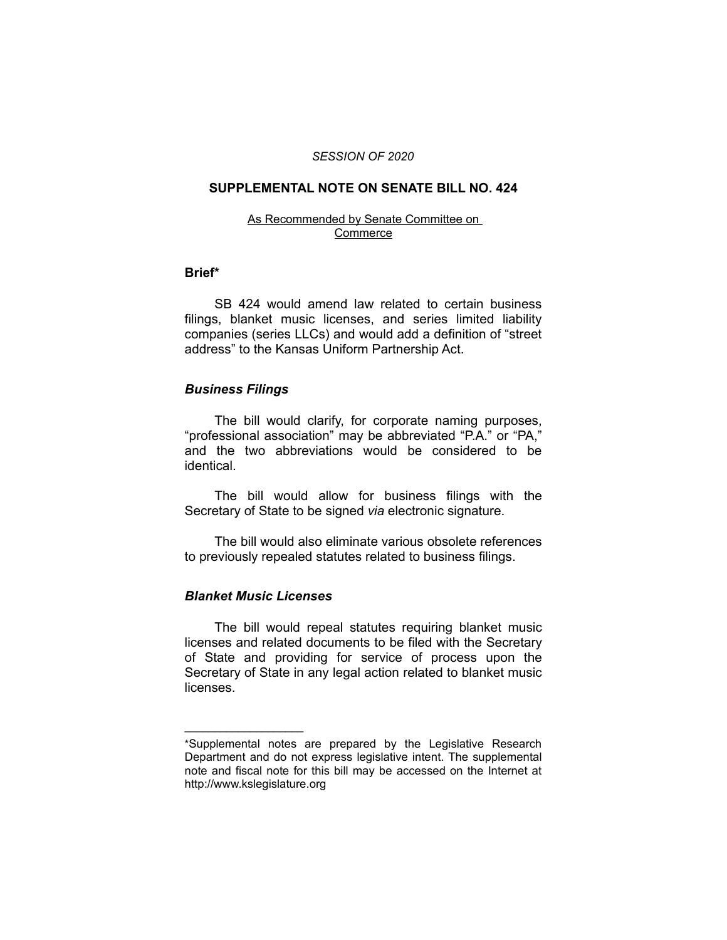#### *SESSION OF 2020*

### **SUPPLEMENTAL NOTE ON SENATE BILL NO. 424**

#### As Recommended by Senate Committee on Commerce

#### **Brief\***

SB 424 would amend law related to certain business filings, blanket music licenses, and series limited liability companies (series LLCs) and would add a definition of "street address" to the Kansas Uniform Partnership Act.

#### *Business Filings*

The bill would clarify, for corporate naming purposes, "professional association" may be abbreviated "P.A." or "PA," and the two abbreviations would be considered to be identical.

The bill would allow for business filings with the Secretary of State to be signed *via* electronic signature.

The bill would also eliminate various obsolete references to previously repealed statutes related to business filings.

## *Blanket Music Licenses*

 $\overline{\phantom{a}}$  , where  $\overline{\phantom{a}}$  , where  $\overline{\phantom{a}}$ 

The bill would repeal statutes requiring blanket music licenses and related documents to be filed with the Secretary of State and providing for service of process upon the Secretary of State in any legal action related to blanket music licenses.

<sup>\*</sup>Supplemental notes are prepared by the Legislative Research Department and do not express legislative intent. The supplemental note and fiscal note for this bill may be accessed on the Internet at http://www.kslegislature.org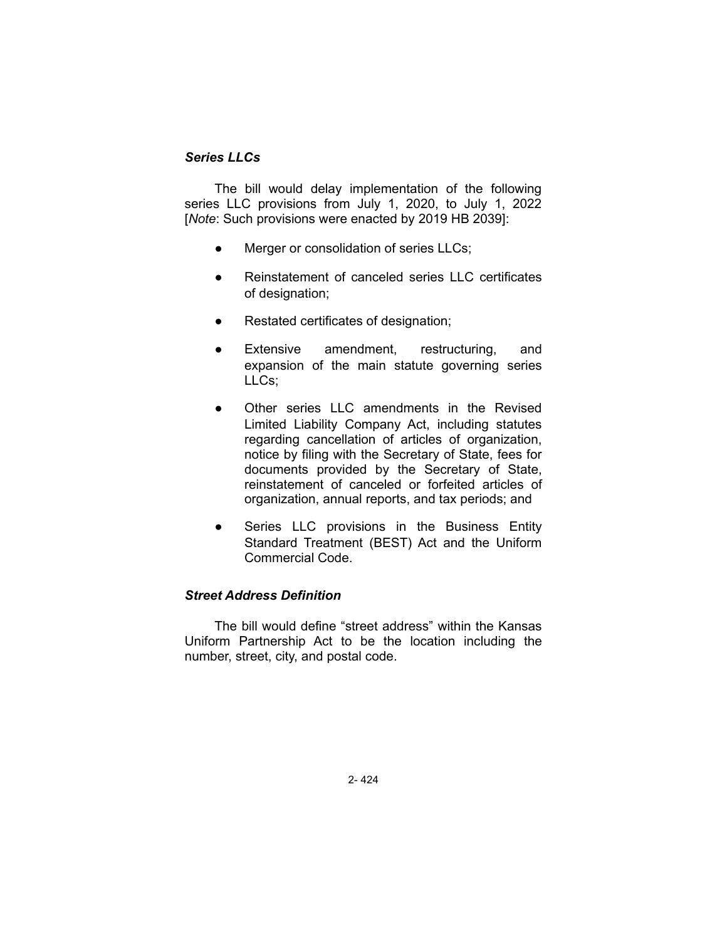# *Series LLCs*

The bill would delay implementation of the following series LLC provisions from July 1, 2020, to July 1, 2022 [*Note*: Such provisions were enacted by 2019 HB 2039]:

- Merger or consolidation of series LLCs;
- Reinstatement of canceled series LLC certificates of designation;
- Restated certificates of designation;
- Extensive amendment, restructuring, and expansion of the main statute governing series LLCs;
- Other series LLC amendments in the Revised Limited Liability Company Act, including statutes regarding cancellation of articles of organization, notice by filing with the Secretary of State, fees for documents provided by the Secretary of State, reinstatement of canceled or forfeited articles of organization, annual reports, and tax periods; and
- Series LLC provisions in the Business Entity Standard Treatment (BEST) Act and the Uniform Commercial Code.

## *Street Address Definition*

The bill would define "street address" within the Kansas Uniform Partnership Act to be the location including the number, street, city, and postal code.